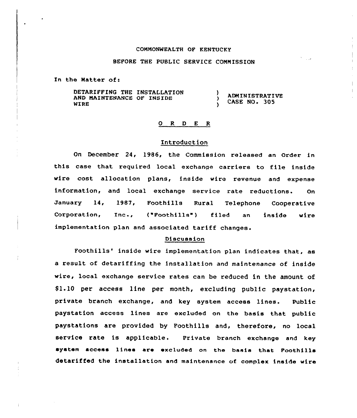#### COMMONWEALTH OF KENTUCKY

## BEFORE THE PUBLIC SERVICE COMMISSION

منازل

In the Matter of:

DETARIFFING THE INSTALLATION AND MAINTENANCE OF INSIDE WIRE ) ADMINISTRATIVE CASE NO. 305

#### 0 R <sup>D</sup> E R

#### Introduction

On December 24, 1986, the Commission released an order in this case that required local exchange carriers to file inside wire cost allocation plans, inside wire revenue and expense information, and local exchange service rate reductions. On January 1<mark>4,</mark> 1987, Foothills Rural Telephone Cooperativ Corporation, Inc., ("Foothills") filed an inside wire implementation plan and associated tariff

### Discussion

Foothills' inside wire implementation plan indicates that, as a result of detariffing the installation and maintenance of inside wire, local exchange service rates can be reduced in the amount of \$ 1.10 per access line per month, excluding public paystation, private branch exchange, and key system access lines. Public paystation access lines are excluded on the basis that public paystations are provided by Foothills and, therefore, no local service rate is applicable. Private branch exchange and key system access linea are excluded on the basis that Foothills detariffed the installation and maintenance of complex inside wire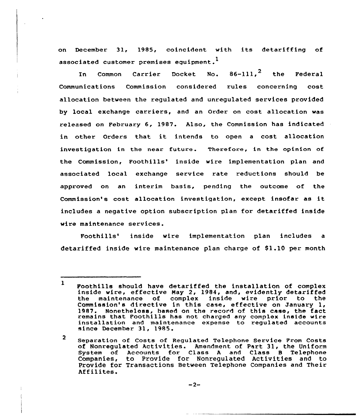on December 31, 1985, coincident with its detariffing of associated customer premises equipment.<sup>1</sup>

In Common Carrier Docket No.  $86-111$ ,  $^2$  the Federa Communications Commission considered rules concerning cost allocation between the regulated and unregulated services provided by local exchange carriers, and an Order on cost allocation was released on February 6, 1987. Also, the Commission has indicated in other Orders that it intends to open <sup>a</sup> cost allocation investigation in the near future. Therefore, in the opinion of the Commission, Foothills' inside wire implementation plan and associated local exchange service rate reductions should be approved on an interim basis, pending the outcome of the Commission's cost allocation investigation, except insofar as it includes a negative option subscription plan for detariffed inside wire maintenance services.

Foothills' inside wire implementation plan includes a detariffed inside wire maintenance plan charge of \$1.10 per month

 $\overline{2}$ Separation of Costs of Regulated Telephone Service Prom Costs of Nonregulated Activities. Amendment of Part 31, the Uniform System of Accounts for Class <sup>A</sup> and Class <sup>B</sup> Telephone Companies, to Provide for Nonregulated Activities and to Provide for Transactions Between Telephone companies and Their Affilites.

 $-2-$ 

 $\mathbf{I}$ Foothills should have detariffed the installation of complex inside wire, effective Nay 2, 1984, and, evidently detaziffed the maintenance of complex inside wire prior to the 1987. Nonetheless, based on the record of this case, the fact remains that Foothills has not charged any complex inside wire installation and maintenance expense to regulated accounts since December 31, 1985.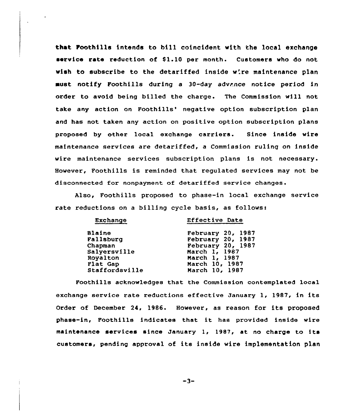that Foothills intends to bill coincident with the local exchange service rate reduction of \$1.10 per month. Customers who do not wish to subscribe to the detariffed inside w'.re maintenance plan aust notify Foothills during a 30-day advance notice period in order to avoid being billed the charge. The Commission will not take any action on Foothills' negative option subscription plan and has not taken any action on positive option subscription plans proposed by other local exchange carriers. Since inside wire maintenance services are detariffed, a Commission ruling on inside wire maintenance services subscription plans is not necessary. However, Foothills is reminded that regulated services may not be disconnected for nonpayment of detariffed service changes.

Also, Foothills proposed to phase-in local exchange service rate reductions on a billing cycle basis, as follows:

 $E = E = E$ 

| Exchange       | EILECTIVE DATE    |
|----------------|-------------------|
| <b>Blaine</b>  | February 20, 1987 |
| Fallsburg      | February 20, 1987 |
| Chapman        | February 20, 1987 |
| Salversville   | March 1, 1987     |
| Royalton       | March 1, 1987     |
| Flat Gap       | March 10, 1987    |
| Staffordsville | March 10, 1987    |
|                |                   |

Foothills acknowledges that the Commission contemplated local exchange service rate reductions effective January 1, 1987, in its Order of December 24, 1986. However, as reason for its proposed phase-in, Foothills indicates that it has provided inside wire maintenance services since January 1, 1987, at no charge to its customers, pending approval of its inside wire implementation plan

 $-3-$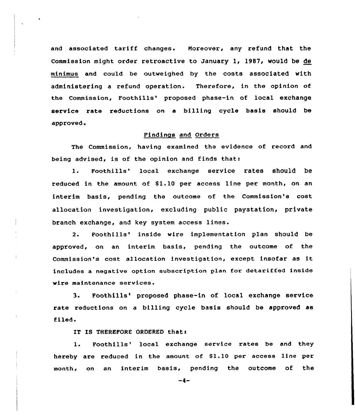and associated tariff changes. Moreover, any refund that the Commission might order retroactive to January 1, 1987, would be de minimus and cauld be outweighed by the costs associated with administering a refund operation. Therefore, in the opinion af the Commission, Foothills' proposed phase-in of local exchange service rate reductions on a billing cycle basis should be approved.

# Findings and Orders

The Commission, having examined the evidence af record and being advised, is of the opinion and finds that:

1. Foothills' local exchange service rates should be reduced in the amount of \$1.10 per access line per month, on an interim basis, pending the outcome of the Commission's cost allocation investigation, excluding public paystation, private branch exchange, and key system access lines.

2. Foothills' inside wire implementation plan should be approved, on an interim basis, pending the outcome of the Commission's cost allocation investigation, except insofax as it includes a negative option subscription plan for detariffed inside wire maintenance services.

3. Foothills' proposed phase-in of local exchange service rate reductions on a billing cycle basis should be approved as filed.

IT IS THEREFORE ORDERED that:

Foothills' local exchange service rates be and they 1. hereby are reduced in the amount of \$1.10 per access line per month, on an interim basis, pending the outcome of the

-4-